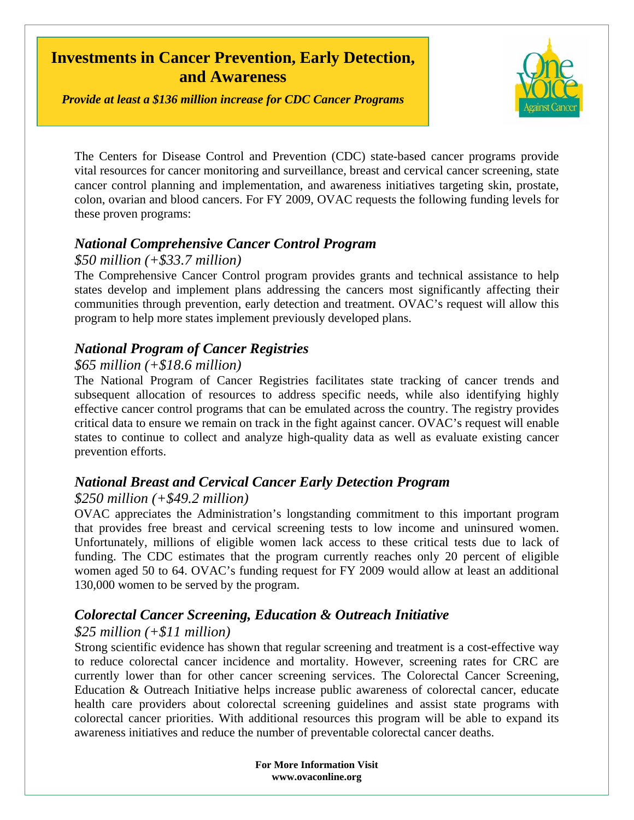# **Investments in Cancer Prevention, Early Detection, and Awareness**

*Provide at least a \$136 million increase for CDC Cancer Programs* 



The Centers for Disease Control and Prevention (CDC) state-based cancer programs provide vital resources for cancer monitoring and surveillance, breast and cervical cancer screening, state cancer control planning and implementation, and awareness initiatives targeting skin, prostate, colon, ovarian and blood cancers. For FY 2009, OVAC requests the following funding levels for these proven programs:

# *National Comprehensive Cancer Control Program*

### *\$50 million (+\$33.7 million)*

The Comprehensive Cancer Control program provides grants and technical assistance to help states develop and implement plans addressing the cancers most significantly affecting their communities through prevention, early detection and treatment. OVAC's request will allow this program to help more states implement previously developed plans.

## *National Program of Cancer Registries*

#### *\$65 million (+\$18.6 million)*

The National Program of Cancer Registries facilitates state tracking of cancer trends and subsequent allocation of resources to address specific needs, while also identifying highly effective cancer control programs that can be emulated across the country. The registry provides critical data to ensure we remain on track in the fight against cancer. OVAC's request will enable states to continue to collect and analyze high-quality data as well as evaluate existing cancer prevention efforts.

# *National Breast and Cervical Cancer Early Detection Program*

### *\$250 million (+\$49.2 million)*

OVAC appreciates the Administration's longstanding commitment to this important program that provides free breast and cervical screening tests to low income and uninsured women. Unfortunately, millions of eligible women lack access to these critical tests due to lack of funding. The CDC estimates that the program currently reaches only 20 percent of eligible women aged 50 to 64. OVAC's funding request for FY 2009 would allow at least an additional 130,000 women to be served by the program.

# *Colorectal Cancer Screening, Education & Outreach Initiative*

### *\$25 million (+\$11 million)*

Strong scientific evidence has shown that regular screening and treatment is a cost-effective way to reduce colorectal cancer incidence and mortality. However, screening rates for CRC are currently lower than for other cancer screening services. The Colorectal Cancer Screening, Education & Outreach Initiative helps increase public awareness of colorectal cancer, educate health care providers about colorectal screening guidelines and assist state programs with colorectal cancer priorities. With additional resources this program will be able to expand its awareness initiatives and reduce the number of preventable colorectal cancer deaths.

> **For More Information Visit www.ovaconline.org**